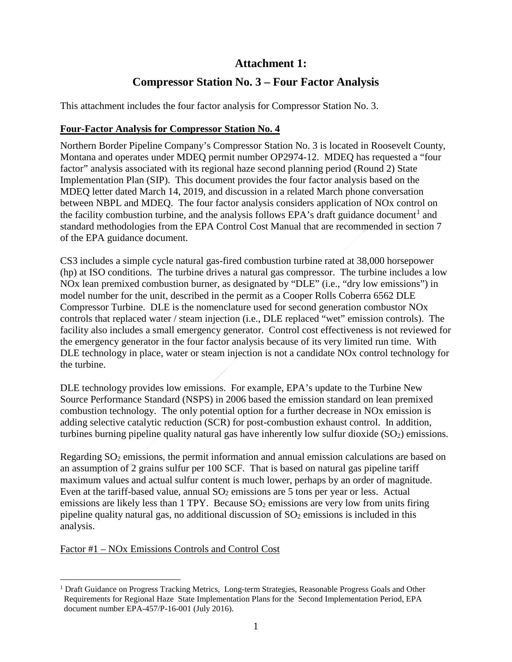## **Attachment 1:**

# **Compressor Station No. 3 – Four Factor Analysis**

This attachment includes the four factor analysis for Compressor Station No. 3.

#### **Four-Factor Analysis for Compressor Station No. 4**

Northern Border Pipeline Company's Compressor Station No. 3 is located in Roosevelt County, Montana and operates under MDEQ permit number OP2974-12. MDEQ has requested a "four factor" analysis associated with its regional haze second planning period (Round 2) State Implementation Plan (SIP). This document provides the four factor analysis based on the MDEQ letter dated March 14, 2019, and discussion in a related March phone conversation between NBPL and MDEQ. The four factor analysis considers application of NOx control on the facility combustion turbine, and the analysis follows EPA's draft guidance document<sup>[1](#page-0-0)</sup> and standard methodologies from the EPA Control Cost Manual that are recommended in section 7 of the EPA guidance document.

CS3 includes a simple cycle natural gas-fired combustion turbine rated at 38,000 horsepower (hp) at ISO conditions. The turbine drives a natural gas compressor. The turbine includes a low NOx lean premixed combustion burner, as designated by "DLE" (i.e., "dry low emissions") in model number for the unit, described in the permit as a Cooper Rolls Coberra 6562 DLE Compressor Turbine. DLE is the nomenclature used for second generation combustor NOx controls that replaced water / steam injection (i.e., DLE replaced "wet" emission controls). The facility also includes a small emergency generator. Control cost effectiveness is not reviewed for the emergency generator in the four factor analysis because of its very limited run time. With DLE technology in place, water or steam injection is not a candidate NOx control technology for the turbine.

DLE technology provides low emissions. For example, EPA's update to the Turbine New Source Performance Standard (NSPS) in 2006 based the emission standard on lean premixed combustion technology. The only potential option for a further decrease in NOx emission is adding selective catalytic reduction (SCR) for post-combustion exhaust control. In addition, turbines burning pipeline quality natural gas have inherently low sulfur dioxide  $(SO<sub>2</sub>)$  emissions.

Regarding  $SO<sub>2</sub>$  emissions, the permit information and annual emission calculations are based on an assumption of 2 grains sulfur per 100 SCF. That is based on natural gas pipeline tariff maximum values and actual sulfur content is much lower, perhaps by an order of magnitude. Even at the tariff-based value, annual  $SO_2$  emissions are 5 tons per year or less. Actual emissions are likely less than 1 TPY. Because  $SO_2$  emissions are very low from units firing pipeline quality natural gas, no additional discussion of  $SO<sub>2</sub>$  emissions is included in this analysis.

#### Factor #1 – NOx Emissions Controls and Control Cost

<span id="page-0-0"></span><sup>&</sup>lt;sup>1</sup> Draft Guidance on Progress Tracking Metrics, Long-term Strategies, Reasonable Progress Goals and Other Requirements for Regional Haze State Implementation Plans for the Second Implementation Period, EPA document number EPA-457/P-16-001 (July 2016).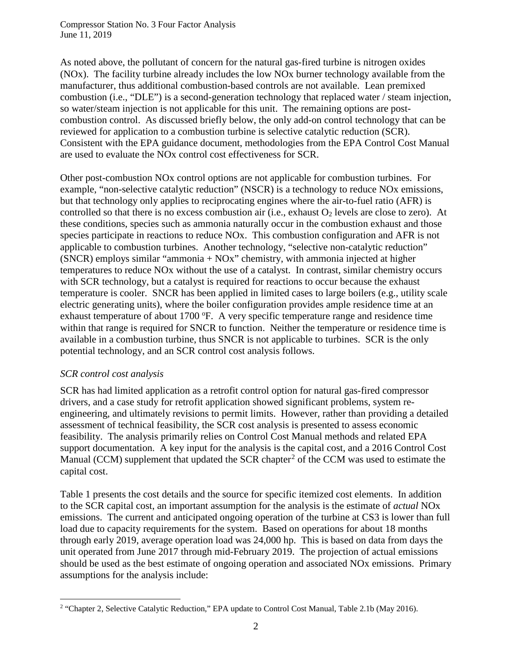Compressor Station No. 3 Four Factor Analysis June 11, 2019

As noted above, the pollutant of concern for the natural gas-fired turbine is nitrogen oxides (NOx). The facility turbine already includes the low NOx burner technology available from the manufacturer, thus additional combustion-based controls are not available. Lean premixed combustion (i.e., "DLE") is a second-generation technology that replaced water / steam injection, so water/steam injection is not applicable for this unit. The remaining options are postcombustion control. As discussed briefly below, the only add-on control technology that can be reviewed for application to a combustion turbine is selective catalytic reduction (SCR). Consistent with the EPA guidance document, methodologies from the EPA Control Cost Manual are used to evaluate the NOx control cost effectiveness for SCR.

Other post-combustion NOx control options are not applicable for combustion turbines. For example, "non-selective catalytic reduction" (NSCR) is a technology to reduce NOx emissions, but that technology only applies to reciprocating engines where the air-to-fuel ratio (AFR) is controlled so that there is no excess combustion air (i.e., exhaust  $O_2$  levels are close to zero). At these conditions, species such as ammonia naturally occur in the combustion exhaust and those species participate in reactions to reduce NOx. This combustion configuration and AFR is not applicable to combustion turbines. Another technology, "selective non-catalytic reduction" (SNCR) employs similar "ammonia + NOx" chemistry, with ammonia injected at higher temperatures to reduce NOx without the use of a catalyst. In contrast, similar chemistry occurs with SCR technology, but a catalyst is required for reactions to occur because the exhaust temperature is cooler. SNCR has been applied in limited cases to large boilers (e.g., utility scale electric generating units), where the boiler configuration provides ample residence time at an exhaust temperature of about 1700 °F. A very specific temperature range and residence time within that range is required for SNCR to function. Neither the temperature or residence time is available in a combustion turbine, thus SNCR is not applicable to turbines. SCR is the only potential technology, and an SCR control cost analysis follows.

#### *SCR control cost analysis*

SCR has had limited application as a retrofit control option for natural gas-fired compressor drivers, and a case study for retrofit application showed significant problems, system reengineering, and ultimately revisions to permit limits. However, rather than providing a detailed assessment of technical feasibility, the SCR cost analysis is presented to assess economic feasibility. The analysis primarily relies on Control Cost Manual methods and related EPA support documentation. A key input for the analysis is the capital cost, and a 2016 Control Cost Manual (CCM) supplement that updated the SCR chapter<sup>[2](#page-1-0)</sup> of the CCM was used to estimate the capital cost.

Table 1 presents the cost details and the source for specific itemized cost elements. In addition to the SCR capital cost, an important assumption for the analysis is the estimate of *actual* NOx emissions. The current and anticipated ongoing operation of the turbine at CS3 is lower than full load due to capacity requirements for the system. Based on operations for about 18 months through early 2019, average operation load was 24,000 hp. This is based on data from days the unit operated from June 2017 through mid-February 2019. The projection of actual emissions should be used as the best estimate of ongoing operation and associated NOx emissions. Primary assumptions for the analysis include:

<span id="page-1-0"></span><sup>&</sup>lt;sup>2</sup> "Chapter 2, Selective Catalytic Reduction," EPA update to Control Cost Manual, Table 2.1b (May 2016).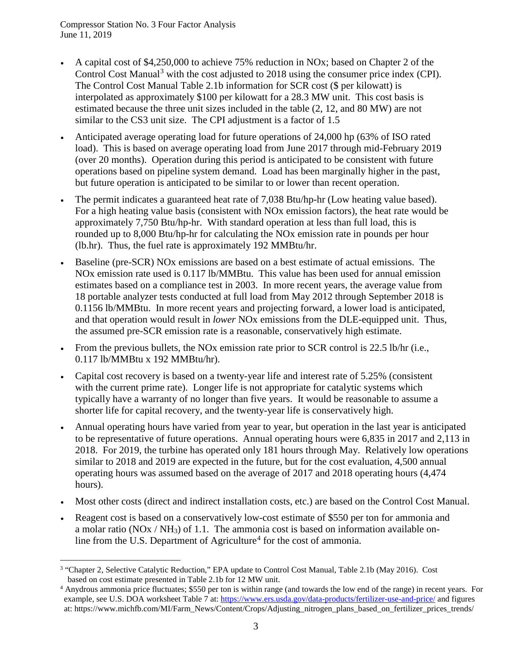Compressor Station No. 3 Four Factor Analysis June 11, 2019

- A capital cost of \$4,250,000 to achieve 75% reduction in NOx; based on Chapter 2 of the Control Cost Manual<sup>[3](#page-2-0)</sup> with the cost adjusted to 2018 using the consumer price index (CPI). The Control Cost Manual Table 2.1b information for SCR cost (\$ per kilowatt) is interpolated as approximately \$100 per kilowatt for a 28.3 MW unit. This cost basis is estimated because the three unit sizes included in the table (2, 12, and 80 MW) are not similar to the CS3 unit size. The CPI adjustment is a factor of 1.5
- Anticipated average operating load for future operations of 24,000 hp (63% of ISO rated load). This is based on average operating load from June 2017 through mid-February 2019 (over 20 months). Operation during this period is anticipated to be consistent with future operations based on pipeline system demand. Load has been marginally higher in the past, but future operation is anticipated to be similar to or lower than recent operation.
- The permit indicates a guaranteed heat rate of 7,038 Btu/hp-hr (Low heating value based). For a high heating value basis (consistent with NOx emission factors), the heat rate would be approximately 7,750 Btu/hp-hr. With standard operation at less than full load, this is rounded up to 8,000 Btu/hp-hr for calculating the NOx emission rate in pounds per hour (lb.hr). Thus, the fuel rate is approximately 192 MMBtu/hr.
- Baseline (pre-SCR) NOx emissions are based on a best estimate of actual emissions. The NOx emission rate used is 0.117 lb/MMBtu. This value has been used for annual emission estimates based on a compliance test in 2003. In more recent years, the average value from 18 portable analyzer tests conducted at full load from May 2012 through September 2018 is 0.1156 lb/MMBtu. In more recent years and projecting forward, a lower load is anticipated, and that operation would result in *lower* NOx emissions from the DLE-equipped unit. Thus, the assumed pre-SCR emission rate is a reasonable, conservatively high estimate.
- From the previous bullets, the NOx emission rate prior to SCR control is 22.5 lb/hr (i.e., 0.117 lb/MMBtu x 192 MMBtu/hr).
- Capital cost recovery is based on a twenty-year life and interest rate of 5.25% (consistent with the current prime rate). Longer life is not appropriate for catalytic systems which typically have a warranty of no longer than five years. It would be reasonable to assume a shorter life for capital recovery, and the twenty-year life is conservatively high.
- Annual operating hours have varied from year to year, but operation in the last year is anticipated to be representative of future operations. Annual operating hours were 6,835 in 2017 and 2,113 in 2018. For 2019, the turbine has operated only 181 hours through May. Relatively low operations similar to 2018 and 2019 are expected in the future, but for the cost evaluation, 4,500 annual operating hours was assumed based on the average of 2017 and 2018 operating hours (4,474 hours).
- Most other costs (direct and indirect installation costs, etc.) are based on the Control Cost Manual.
- Reagent cost is based on a conservatively low-cost estimate of \$550 per ton for ammonia and a molar ratio ( $NOX / NH_3$ ) of 1.1. The ammonia cost is based on information available on-line from the U.S. Department of Agriculture<sup>[4](#page-2-1)</sup> for the cost of ammonia.

<span id="page-2-0"></span><sup>&</sup>lt;sup>3</sup> "Chapter 2, Selective Catalytic Reduction," EPA update to Control Cost Manual, Table 2.1b (May 2016). Cost based on cost estimate presented in Table 2.1b for 12 MW unit.

<span id="page-2-1"></span><sup>4</sup> Anydrous ammonia price fluctuates; \$550 per ton is within range (and towards the low end of the range) in recent years. For example, see U.S. DOA worksheet Table 7 at:<https://www.ers.usda.gov/data-products/fertilizer-use-and-price/> and figures at: [https://www.michfb.com/MI/Farm\\_News/Content/Crops/Adjusting\\_nitrogen\\_plans\\_based\\_on\\_fertilizer\\_prices\\_trends/](https://www.michfb.com/MI/Farm_News/Content/Crops/Adjusting_nitrogen_plans_based_on_fertilizer_prices_trends/)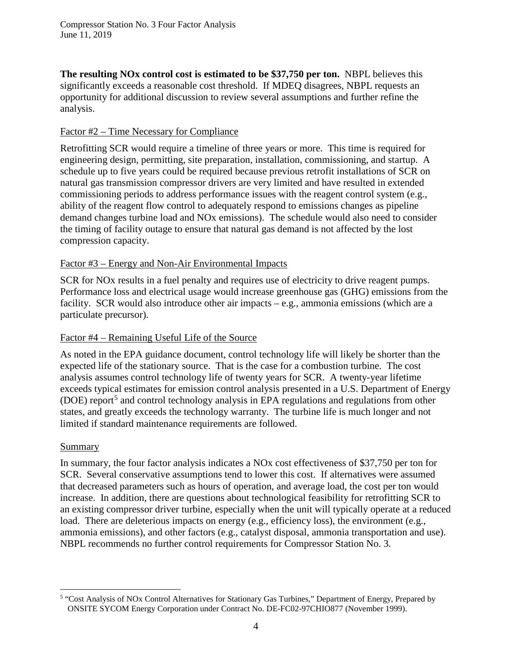**The resulting NOx control cost is estimated to be \$37,750 per ton.** NBPL believes this significantly exceeds a reasonable cost threshold. If MDEQ disagrees, NBPL requests an opportunity for additional discussion to review several assumptions and further refine the analysis.

#### Factor #2 – Time Necessary for Compliance

Retrofitting SCR would require a timeline of three years or more. This time is required for engineering design, permitting, site preparation, installation, commissioning, and startup. A schedule up to five years could be required because previous retrofit installations of SCR on natural gas transmission compressor drivers are very limited and have resulted in extended commissioning periods to address performance issues with the reagent control system (e.g., ability of the reagent flow control to adequately respond to emissions changes as pipeline demand changes turbine load and NOx emissions). The schedule would also need to consider the timing of facility outage to ensure that natural gas demand is not affected by the lost compression capacity.

#### Factor #3 – Energy and Non-Air Environmental Impacts

SCR for NOx results in a fuel penalty and requires use of electricity to drive reagent pumps. Performance loss and electrical usage would increase greenhouse gas (GHG) emissions from the facility. SCR would also introduce other air impacts – e.g., ammonia emissions (which are a particulate precursor).

#### Factor #4 – Remaining Useful Life of the Source

As noted in the EPA guidance document, control technology life will likely be shorter than the expected life of the stationary source. That is the case for a combustion turbine. The cost analysis assumes control technology life of twenty years for SCR. A twenty-year lifetime exceeds typical estimates for emission control analysis presented in a U.S. Department of Energy (DOE) report<sup>[5](#page-3-0)</sup> and control technology analysis in EPA regulations and regulations from other states, and greatly exceeds the technology warranty. The turbine life is much longer and not limited if standard maintenance requirements are followed.

#### Summary

In summary, the four factor analysis indicates a NOx cost effectiveness of \$37,750 per ton for SCR. Several conservative assumptions tend to lower this cost. If alternatives were assumed that decreased parameters such as hours of operation, and average load, the cost per ton would increase. In addition, there are questions about technological feasibility for retrofitting SCR to an existing compressor driver turbine, especially when the unit will typically operate at a reduced load. There are deleterious impacts on energy (e.g., efficiency loss), the environment (e.g., ammonia emissions), and other factors (e.g., catalyst disposal, ammonia transportation and use). NBPL recommends no further control requirements for Compressor Station No. 3.

<span id="page-3-0"></span><sup>&</sup>lt;sup>5</sup> "Cost Analysis of NOx Control Alternatives for Stationary Gas Turbines," Department of Energy, Prepared by ONSITE SYCOM Energy Corporation under Contract No. DE-FC02-97CHIO877 (November 1999).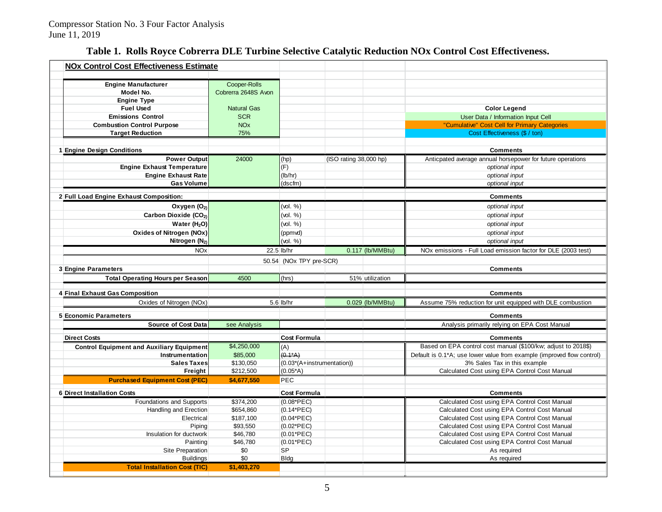## **Table 1. Rolls Royce Cobrerra DLE Turbine Selective Catalytic Reduction NOx Control Cost Effectiveness.**

| <b>NOx Control Cost Effectiveness Estimate</b>   |                       |                            |                        |                  |                                                                        |
|--------------------------------------------------|-----------------------|----------------------------|------------------------|------------------|------------------------------------------------------------------------|
|                                                  |                       |                            |                        |                  |                                                                        |
| <b>Engine Manufacturer</b>                       | Cooper-Rolls          |                            |                        |                  |                                                                        |
| Model No.                                        | Cobrerra 2648S Avon   |                            |                        |                  |                                                                        |
| <b>Engine Type</b>                               |                       |                            |                        |                  |                                                                        |
| <b>Fuel Used</b>                                 | <b>Natural Gas</b>    |                            |                        |                  | <b>Color Legend</b>                                                    |
| <b>Emissions Control</b>                         | <b>SCR</b>            |                            |                        |                  | User Data / Information Input Cell                                     |
| <b>Combustion Control Purpose</b>                | <b>NO<sub>x</sub></b> |                            |                        |                  | "Cumulative" Cost Cell for Primary Categories                          |
| <b>Target Reduction</b>                          | 75%                   |                            |                        |                  | Cost Effectiveness (\$ / ton)                                          |
|                                                  |                       |                            |                        |                  |                                                                        |
| 1 Engine Design Conditions                       |                       |                            |                        |                  | <b>Comments</b>                                                        |
| <b>Power Output</b>                              | 24000                 | (hp)                       | (ISO rating 38,000 hp) |                  | Anticpated average annual horsepower for future operations             |
| <b>Engine Exhaust Temperature</b>                |                       | (F)                        |                        |                  | optional input                                                         |
| <b>Engine Exhaust Rate</b>                       |                       | (lb/hr)                    |                        |                  | optional input                                                         |
| <b>Gas Volume</b>                                |                       | (dscfm)                    |                        |                  | optional input                                                         |
|                                                  |                       |                            |                        |                  |                                                                        |
| 2 Full Load Engine Exhaust Composition:          |                       |                            |                        |                  | <b>Comments</b>                                                        |
| Oxygen (O <sub>2)</sub>                          |                       | (vol. %)                   |                        |                  | optional input                                                         |
| Carbon Dioxide (CO2)                             |                       | (vol. %)                   |                        |                  | optional input                                                         |
| Water (H <sub>2</sub> O)                         |                       | (vol. %)                   |                        |                  | optional input                                                         |
| Oxides of Nitrogen (NOx)                         |                       | (ppmvd)                    |                        |                  | optional input                                                         |
| Nitrogen (N <sub>2)</sub>                        |                       | (vol. %)                   |                        |                  | optional input                                                         |
| <b>NO<sub>x</sub></b>                            |                       | 22.5 lb/hr                 |                        | 0.117 (lb/MMBtu) | NOx emissions - Full Load emission factor for DLE (2003 test)          |
|                                                  |                       | 50.54 (NOx TPY pre-SCR)    |                        |                  |                                                                        |
| <b>3 Engine Parameters</b>                       |                       |                            |                        |                  | <b>Comments</b>                                                        |
| <b>Total Operating Hours per Season</b>          | 4500                  | (hrs)                      |                        | 51% utilization  |                                                                        |
|                                                  |                       |                            |                        |                  |                                                                        |
| 4 Final Exhaust Gas Composition                  |                       |                            |                        |                  | <b>Comments</b>                                                        |
| Oxides of Nitrogen (NOx)                         |                       | 5.6 lb/hr                  |                        | 0.029 (lb/MMBtu) | Assume 75% reduction for unit equipped with DLE combustion             |
|                                                  |                       |                            |                        |                  |                                                                        |
| <b>5 Economic Parameters</b>                     |                       |                            |                        |                  | <b>Comments</b>                                                        |
| <b>Source of Cost Data</b>                       | see Analysis          |                            |                        |                  | Analysis primarily relying on EPA Cost Manual                          |
| <b>Direct Costs</b>                              |                       | <b>Cost Formula</b>        |                        |                  | <b>Comments</b>                                                        |
| <b>Control Equipment and Auxiliary Equipment</b> | \$4,250,000           | (A)                        |                        |                  | Based on EPA control cost manual (\$100/kw; adjust to 2018\$)          |
| Instrumentation                                  | \$85,000              | $(0.1^*A)$                 |                        |                  | Default is 0.1*A; use lower value from example (improved flow control) |
| <b>Sales Taxes</b>                               | \$130,050             | (0.03*(A+instrumentation)) |                        |                  | 3% Sales Tax in this example                                           |
| Freight                                          | \$212,500             | $(0.05*A)$                 |                        |                  | Calculated Cost using EPA Control Cost Manual                          |
| <b>Purchased Equipment Cost (PEC)</b>            | \$4,677,550           | <b>PEC</b>                 |                        |                  |                                                                        |
|                                                  |                       |                            |                        |                  |                                                                        |
| <b>6 Direct Installation Costs</b>               |                       | <b>Cost Formula</b>        |                        |                  | <b>Comments</b>                                                        |
| Foundations and Supports                         | \$374,200             | $(0.08*PEC)$               |                        |                  | Calculated Cost using EPA Control Cost Manual                          |
| Handling and Erection                            | \$654,860             | $(0.14*PEC)$               |                        |                  | Calculated Cost using EPA Control Cost Manual                          |
| Electrical                                       | \$187,100             | $(0.04*PEC)$               |                        |                  | Calculated Cost using EPA Control Cost Manual                          |
| Piping                                           | \$93,550              | $(0.02*PEC)$               |                        |                  | Calculated Cost using EPA Control Cost Manual                          |
| Insulation for ductwork                          | \$46,780              | $(0.01*PEC)$               |                        |                  | Calculated Cost using EPA Control Cost Manual                          |
| Painting                                         | \$46,780              | $(0.01*PEC)$               |                        |                  | Calculated Cost using EPA Control Cost Manual                          |
| Site Preparation                                 | \$0                   | <b>SP</b>                  |                        |                  | As required                                                            |
| <b>Buildings</b>                                 | \$0                   | <b>Bldg</b>                |                        |                  | As required                                                            |
| <b>Total Installation Cost (TIC)</b>             | \$1,403,270           |                            |                        |                  |                                                                        |
|                                                  |                       |                            |                        |                  |                                                                        |